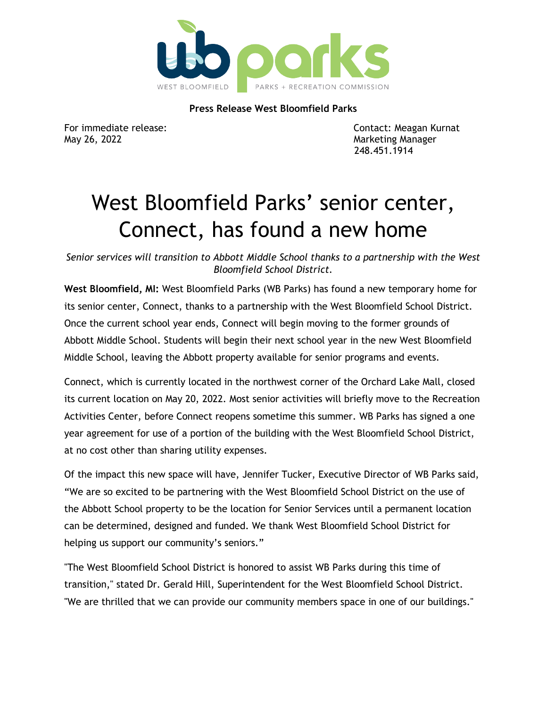

**Press Release West Bloomfield Parks** 

May 26, 2022 **Marketing Manager** Marketing Manager

For immediate release: The Contact: Meagan Kurnat 248.451.1914

## West Bloomfield Parks' senior center, Connect, has found a new home

*Senior services will transition to Abbott Middle School thanks to a partnership with the West Bloomfield School District.* 

**West Bloomfield, MI:** West Bloomfield Parks (WB Parks) has found a new temporary home for its senior center, Connect, thanks to a partnership with the West Bloomfield School District. Once the current school year ends, Connect will begin moving to the former grounds of Abbott Middle School. Students will begin their next school year in the new West Bloomfield Middle School, leaving the Abbott property available for senior programs and events.

Connect, which is currently located in the northwest corner of the Orchard Lake Mall, closed its current location on May 20, 2022. Most senior activities will briefly move to the Recreation Activities Center, before Connect reopens sometime this summer. WB Parks has signed a one year agreement for use of a portion of the building with the West Bloomfield School District, at no cost other than sharing utility expenses.

Of the impact this new space will have, Jennifer Tucker, Executive Director of WB Parks said, "We are so excited to be partnering with the West Bloomfield School District on the use of the Abbott School property to be the location for Senior Services until a permanent location can be determined, designed and funded. We thank West Bloomfield School District for helping us support our community's seniors."

"The West Bloomfield School District is honored to assist WB Parks during this time of transition," stated Dr. Gerald Hill, Superintendent for the West Bloomfield School District. "We are thrilled that we can provide our community members space in one of our buildings."